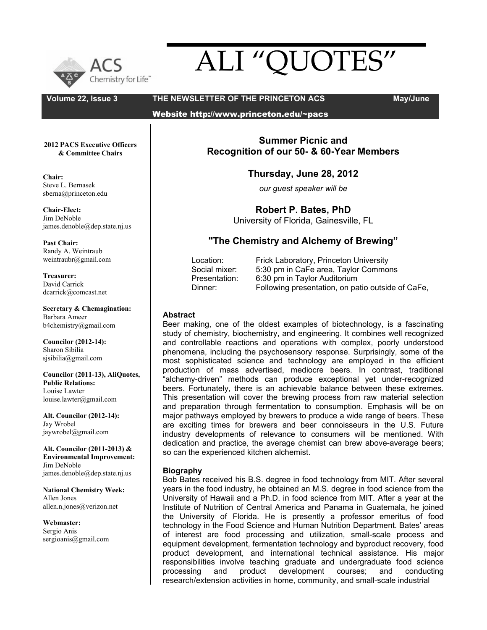

# ALI "QUOTES"

**Volume 22, Issue 3 THE NEWSLETTER OF THE PRINCETON ACS May/June**

Website http://www.princeton.edu/~pacs

**2012 PACS Executive Officers & Committee Chairs**

**Chair:** Steve L. Bernasek sberna@princeton.edu

**Chair-Elect:** Jim DeNoble james.denoble@dep.state.nj.us

**Past Chair:** Randy A. Weintraub weintraubr@gmail.com

**Treasurer:** David Carrick dcarrick@comcast.net

**Secretary & Chemagination:** Barbara Ameer b4chemistry@gmail.com

**Councilor (2012-14):** Sharon Sibilia sjsibilia@gmail.com

**Councilor (2011-13), AliQuotes, Public Relations:** Louise Lawter louise.lawter@gmail.com

**Alt. Councilor (2012-14):** Jay Wrobel jaywrobel@gmail.com

**Alt. Councilor (2011-2013) & Environmental Improvement:** Jim DeNoble james.denoble@dep.state.nj.us

**National Chemistry Week:** Allen Jones allen.n.jones@verizon.net

**Webmaster:**  Sergio Anis sergioanis@gmail.com

**Summer Picnic and Recognition of our 50- & 60-Year Members**

**Thursday, June 28, 2012**

*our guest speaker will be*

**Robert P. Bates, PhD**

University of Florida, Gainesville, FL

## **"The Chemistry and Alchemy of Brewing"**

| Location:     | Frick Laboratory, Princeton University            |
|---------------|---------------------------------------------------|
| Social mixer: | 5:30 pm in CaFe area, Taylor Commons              |
| Presentation: | 6:30 pm in Taylor Auditorium                      |
| Dinner:       | Following presentation, on patio outside of CaFe, |

## **Abstract**

Beer making, one of the oldest examples of biotechnology, is a fascinating study of chemistry, biochemistry, and engineering. It combines well recognized and controllable reactions and operations with complex, poorly understood phenomena, including the psychosensory response. Surprisingly, some of the most sophisticated science and technology are employed in the efficient production of mass advertised, mediocre beers. In contrast, traditional "alchemy-driven" methods can produce exceptional yet under-recognized beers. Fortunately, there is an achievable balance between these extremes. This presentation will cover the brewing process from raw material selection and preparation through fermentation to consumption. Emphasis will be on major pathways employed by brewers to produce a wide range of beers. These are exciting times for brewers and beer connoisseurs in the U.S. Future industry developments of relevance to consumers will be mentioned. With dedication and practice, the average chemist can brew above-average beers; so can the experienced kitchen alchemist.

## **Biography**

Bob Bates received his B.S. degree in food technology from MIT. After several years in the food industry, he obtained an M.S. degree in food science from the University of Hawaii and a Ph.D. in food science from MIT. After a year at the Institute of Nutrition of Central America and Panama in Guatemala, he joined the University of Florida. He is presently a professor emeritus of food technology in the Food Science and Human Nutrition Department. Bates' areas of interest are food processing and utilization, small-scale process and equipment development, fermentation technology and byproduct recovery, food product development, and international technical assistance. His major responsibilities involve teaching graduate and undergraduate food science processing and product development courses; and conducting research/extension activities in home, community, and small-scale industrial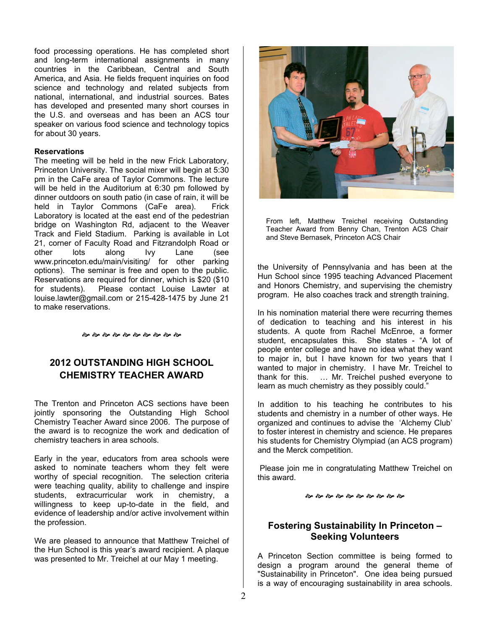food processing operations. He has completed short and long-term international assignments in many countries in the Caribbean, Central and South America, and Asia. He fields frequent inquiries on food science and technology and related subjects from national, international, and industrial sources. Bates has developed and presented many short courses in the U.S. and overseas and has been an ACS tour speaker on various food science and technology topics for about 30 years.

#### **Reservations**

The meeting will be held in the new Frick Laboratory, Princeton University. The social mixer will begin at 5:30 pm in the CaFe area of Taylor Commons. The lecture will be held in the Auditorium at 6:30 pm followed by dinner outdoors on south patio (in case of rain, it will be held in Taylor Commons (CaFe area). Frick Laboratory is located at the east end of the pedestrian bridge on Washington Rd, adjacent to the Weaver Track and Field Stadium. Parking is available in Lot 21, corner of Faculty Road and Fitzrandolph Road or other lots along Ivy Lane (see www.princeton.edu/main/visiting/ for other parking options). The seminar is free and open to the public. Reservations are required for dinner, which is \$20 (\$10 for students). Please contact Louise Lawter at louise.lawter@gmail.com or 215-428-1475 by June 21 to make reservations.

જી જી જી જી જી જી જી જી જી જી જી

## **2012 OUTSTANDING HIGH SCHOOL CHEMISTRY TEACHER AWARD**

The Trenton and Princeton ACS sections have been jointly sponsoring the Outstanding High School Chemistry Teacher Award since 2006. The purpose of the award is to recognize the work and dedication of chemistry teachers in area schools.

Early in the year, educators from area schools were asked to nominate teachers whom they felt were worthy of special recognition. The selection criteria were teaching quality, ability to challenge and inspire students, extracurricular work in chemistry, a willingness to keep up-to-date in the field, and evidence of leadership and/or active involvement within the profession.

We are pleased to announce that Matthew Treichel of the Hun School is this year's award recipient. A plaque was presented to Mr. Treichel at our May 1 meeting.



From left, Matthew Treichel receiving Outstanding Teacher Award from Benny Chan, Trenton ACS Chair and Steve Bernasek, Princeton ACS Chair

the University of Pennsylvania and has been at the Hun School since 1995 teaching Advanced Placement and Honors Chemistry, and supervising the chemistry program. He also coaches track and strength training.

In his nomination material there were recurring themes of dedication to teaching and his interest in his students. A quote from Rachel McEnroe, a former student, encapsulates this. She states - "A lot of people enter college and have no idea what they want to major in, but I have known for two years that I wanted to major in chemistry. I have Mr. Treichel to thank for this. … Mr. Treichel pushed everyone to learn as much chemistry as they possibly could."

In addition to his teaching he contributes to his students and chemistry in a number of other ways. He organized and continues to advise the 'Alchemy Club' to foster interest in chemistry and science. He prepares his students for Chemistry Olympiad (an ACS program) and the Merck competition.

 Please join me in congratulating Matthew Treichel on this award.

જી જી જી જી જી જી જી જી જી જી

## **Fostering Sustainability In Princeton – Seeking Volunteers**

A Princeton Section committee is being formed to design a program around the general theme of "Sustainability in Princeton". One idea being pursued is a way of encouraging sustainability in area schools.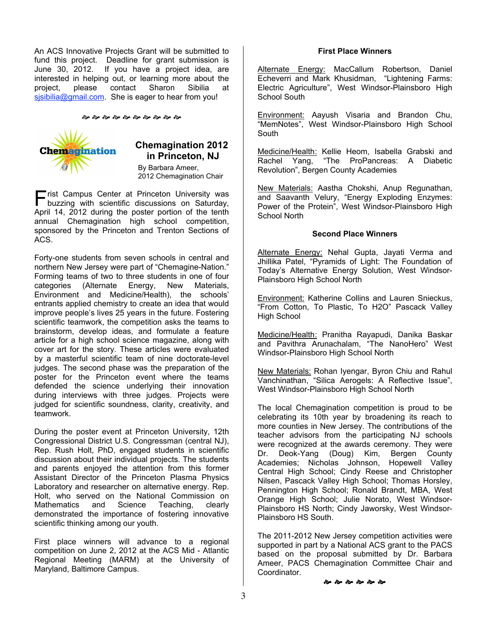An ACS Innovative Projects Grant will be submitted to fund this project. Deadline for grant submission is June 30, 2012. If you have a project idea, are interested in helping out, or learning more about the project, please contact Sharon Sibilia at sisibilia@gmail.com. She is eager to hear from you!

જી જી જી જી જી જી જી જી જી જી



## **Chemagination 2012 in Princeton, NJ**

By Barbara Ameer, 2012 Chemagination Chair

 $\blacksquare$  rist Campus Center at Princeton University was **First Campus Center at Princeton University was buzzing with scientific discussions on Saturday,** April 14, 2012 during the poster portion of the tenth annual Chemagination high school competition, sponsored by the Princeton and Trenton Sections of ACS.

Forty-one students from seven schools in central and northern New Jersey were part of "Chemagine-Nation." Forming teams of two to three students in one of four categories (Alternate Energy, New Materials, Environment and Medicine/Health), the schools' entrants applied chemistry to create an idea that would improve people's lives 25 years in the future. Fostering scientific teamwork, the competition asks the teams to brainstorm, develop ideas, and formulate a feature article for a high school science magazine, along with cover art for the story. These articles were evaluated by a masterful scientific team of nine doctorate-level judges. The second phase was the preparation of the poster for the Princeton event where the teams defended the science underlying their innovation during interviews with three judges. Projects were judged for scientific soundness, clarity, creativity, and teamwork.

During the poster event at Princeton University, 12th Congressional District U.S. Congressman (central NJ), Rep. Rush Holt, PhD, engaged students in scientific discussion about their individual projects. The students and parents enjoyed the attention from this former Assistant Director of the Princeton Plasma Physics Laboratory and researcher on alternative energy. Rep. Holt, who served on the National Commission on Mathematics and Science Teaching, clearly demonstrated the importance of fostering innovative scientific thinking among our youth.

First place winners will advance to a regional competition on June 2, 2012 at the ACS Mid - Atlantic Regional Meeting (MARM) at the University of Maryland, Baltimore Campus.

#### **First Place Winners**

Alternate Energy: MacCallum Robertson, Daniel Echeverri and Mark Khusidman, "Lightening Farms: Electric Agriculture", West Windsor-Plainsboro High School South

Environment: Aayush Visaria and Brandon Chu, "MemNotes", West Windsor-Plainsboro High School South

Medicine/Health: Kellie Heom, Isabella Grabski and Rachel Yang, "The ProPancreas: A Diabetic Revolution", Bergen County Academies

New Materials: Aastha Chokshi, Anup Regunathan, and Saavanth Velury, "Energy Exploding Enzymes: Power of the Protein", West Windsor-Plainsboro High School North

#### **Second Place Winners**

Alternate Energy: Nehal Gupta, Jayati Verma and Jhillika Patel, "Pyramids of Light: The Foundation of Today's Alternative Energy Solution, West Windsor-Plainsboro High School North

Environment: Katherine Collins and Lauren Snieckus, "From Cotton, To Plastic, To H2O" Pascack Valley High School

Medicine/Health: Pranitha Rayapudi, Danika Baskar and Pavithra Arunachalam, "The NanoHero" West Windsor-Plainsboro High School North

New Materials: Rohan Iyengar, Byron Chiu and Rahul Vanchinathan, "Silica Aerogels: A Reflective Issue", West Windsor-Plainsboro High School North

The local Chemagination competition is proud to be celebrating its 10th year by broadening its reach to more counties in New Jersey. The contributions of the teacher advisors from the participating NJ schools were recognized at the awards ceremony. They were Dr. Deok-Yang (Doug) Kim, Bergen County Academies; Nicholas Johnson, Hopewell Valley Central High School; Cindy Reese and Christopher Nilsen, Pascack Valley High School; Thomas Horsley, Pennington High School; Ronald Brandt, MBA, West Orange High School; Julie Norato, West Windsor-Plainsboro HS North; Cindy Jaworsky, West Windsor-Plainsboro HS South.

The 2011-2012 New Jersey competition activities were supported in part by a National ACS grant to the PACS based on the proposal submitted by Dr. Barbara Ameer, PACS Chemagination Committee Chair and Coordinator.

**��** �� �� �� �� ��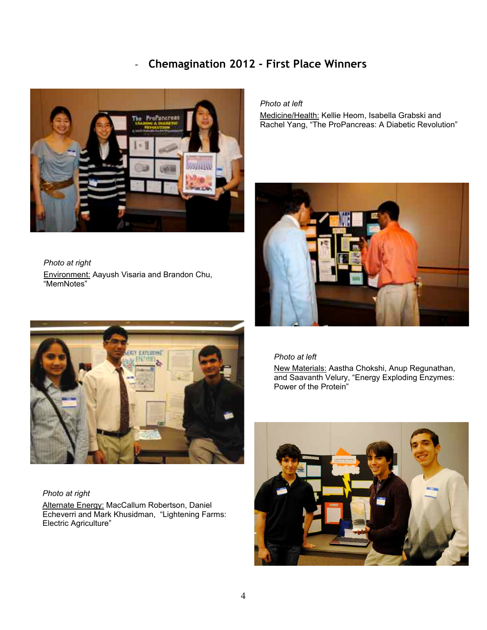## *-* **Chemagination 2012 - First Place Winners**



*Photo at right* **Environment: Aayush Visaria and Brandon Chu,** "MemNotes"



#### *Photo at right*

Alternate Energy: MacCallum Robertson, Daniel Echeverri and Mark Khusidman, "Lightening Farms: Electric Agriculture"

*Photo at left* Medicine/Health: Kellie Heom, Isabella Grabski and Rachel Yang, "The ProPancreas: A Diabetic Revolution"



*Photo at left*

New Materials: Aastha Chokshi, Anup Regunathan, and Saavanth Velury, "Energy Exploding Enzymes: Power of the Protein"

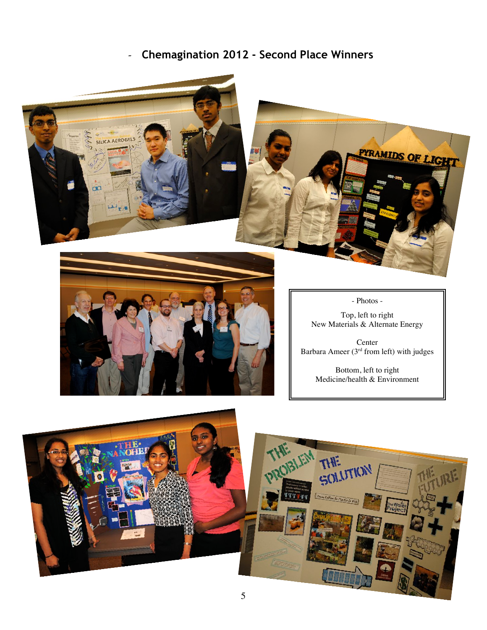# *-* **Chemagination 2012 - Second Place Winners**





- Photos -

Top, left to right New Materials & Alternate Energy

Center Barbara Ameer ( $3<sup>rd</sup>$  from left) with judges

> Bottom, left to right Medicine/health & Environment

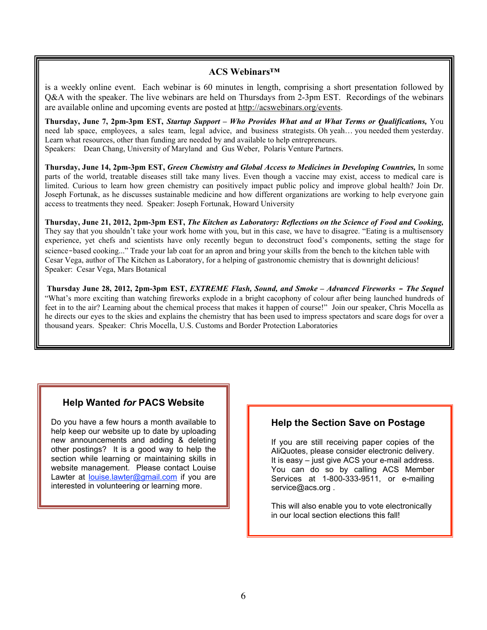## **ACS Webinars™**

is a weekly online event. Each webinar is 60 minutes in length, comprising a short presentation followed by Q&A with the speaker. The live webinars are held on Thursdays from 2-3pm EST. Recordings of the webinars are available online and upcoming events are posted at http://acswebinars.org/events.

**Thursday, June 7, 2pm-3pm EST,** *Startup Support – Who Provides What and at What Terms or Qualifications,* You need lab space, employees, a sales team, legal advice, and business strategists. Oh yeah… you needed them yesterday. Learn what resources, other than funding are needed by and available to help entrepreneurs. Speakers: Dean Chang, University of Maryland and Gus Weber, Polaris Venture Partners.

**Thursday, June 14, 2pm-3pm EST,** *Green Chemistry and Global Access to Medicines in Developing Countries,* In some parts of the world, treatable diseases still take many lives. Even though a vaccine may exist, access to medical care is limited. Curious to learn how green chemistry can positively impact public policy and improve global health? Join Dr. Joseph Fortunak, as he discusses sustainable medicine and how different organizations are working to help everyone gain access to treatments they need. Speaker: Joseph Fortunak, Howard University

**Thursday, June 21, 2012, 2pm-3pm EST,** *The Kitchen as Laboratory: Reflections on the Science of Food and Cooking,* They say that you shouldn't take your work home with you, but in this case, we have to disagree. "Eating is a multisensory experience, yet chefs and scientists have only recently begun to deconstruct food's components, setting the stage for science-based cooking..." Trade your lab coat for an apron and bring your skills from the bench to the kitchen table with Cesar Vega, author of The Kitchen as Laboratory, for a helping of gastronomic chemistry that is downright delicious! Speaker: Cesar Vega, Mars Botanical

 **Thursday June 28, 2012, 2pm-3pm EST,** *EXTREME Flash, Sound, and Smoke – Advanced Fireworks - The Sequel* "What's more exciting than watching fireworks explode in a bright cacophony of colour after being launched hundreds of feet in to the air? Learning about the chemical process that makes it happen of course!" Join our speaker, Chris Mocella as he directs our eyes to the skies and explains the chemistry that has been used to impress spectators and scare dogs for over a thousand years. Speaker: Chris Mocella, U.S. Customs and Border Protection Laboratories

## **Help Wanted** *for* **PACS Website**

Do you have a few hours a month available to help keep our website up to date by uploading new announcements and adding & deleting other postings? It is a good way to help the section while learning or maintaining skills in website management. Please contact Louise Lawter at louise.lawter@gmail.com if you are interested in volunteering or learning more.

## **Help the Section Save on Postage**

If you are still receiving paper copies of the AliQuotes, please consider electronic delivery. It is easy – just give ACS your e-mail address. You can do so by calling ACS Member Services at 1-800-333-9511, or e-mailing service@acs.org.

This will also enable you to vote electronically in our local section elections this fall!